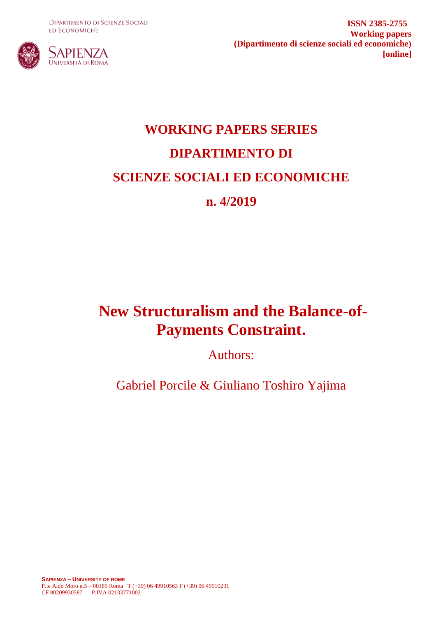**DIPARTIMENTO DI SCIENZE SOCIALI ED ECONOMICHE** 



**ISSN 2385-2755 Working papers (Dipartimento di scienze sociali ed economiche) [online]**

# **WORKING PAPERS SERIES DIPARTIMENTO DI SCIENZE SOCIALI ED ECONOMICHE n. 4/2019**

## **New Structuralism and the Balance-of-Payments Constraint.**

Authors:

Gabriel Porcile & Giuliano Toshiro Yajima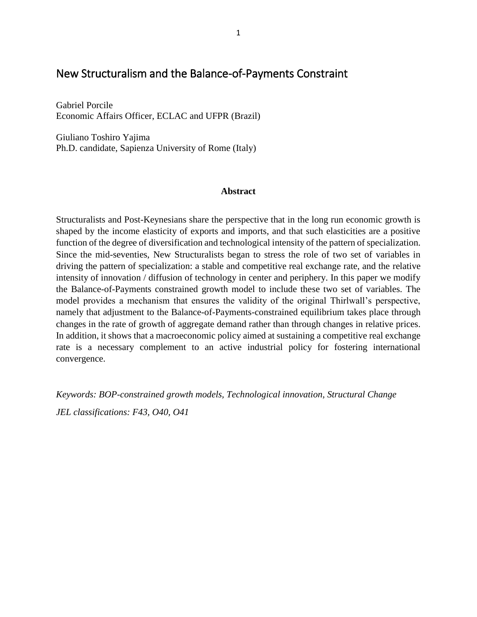## New Structuralism and the Balance-of-Payments Constraint

Gabriel Porcile Economic Affairs Officer, ECLAC and UFPR (Brazil)

Giuliano Toshiro Yajima Ph.D. candidate, Sapienza University of Rome (Italy)

#### **Abstract**

Structuralists and Post-Keynesians share the perspective that in the long run economic growth is shaped by the income elasticity of exports and imports, and that such elasticities are a positive function of the degree of diversification and technological intensity of the pattern of specialization. Since the mid-seventies, New Structuralists began to stress the role of two set of variables in driving the pattern of specialization: a stable and competitive real exchange rate, and the relative intensity of innovation / diffusion of technology in center and periphery. In this paper we modify the Balance-of-Payments constrained growth model to include these two set of variables. The model provides a mechanism that ensures the validity of the original Thirlwall's perspective, namely that adjustment to the Balance-of-Payments-constrained equilibrium takes place through changes in the rate of growth of aggregate demand rather than through changes in relative prices. In addition, it shows that a macroeconomic policy aimed at sustaining a competitive real exchange rate is a necessary complement to an active industrial policy for fostering international convergence.

*Keywords: BOP-constrained growth models, Technological innovation, Structural Change*

*JEL classifications: F43, O40, O41*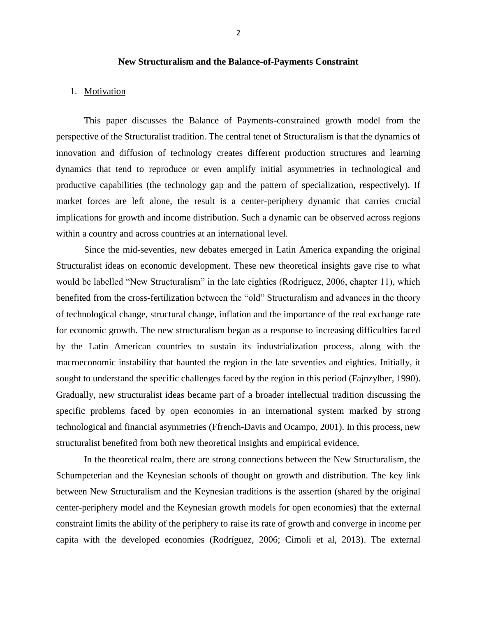#### **New Structuralism and the Balance-of-Payments Constraint**

#### 1. Motivation

This paper discusses the Balance of Payments-constrained growth model from the perspective of the Structuralist tradition. The central tenet of Structuralism is that the dynamics of innovation and diffusion of technology creates different production structures and learning dynamics that tend to reproduce or even amplify initial asymmetries in technological and productive capabilities (the technology gap and the pattern of specialization, respectively). If market forces are left alone, the result is a center-periphery dynamic that carries crucial implications for growth and income distribution. Such a dynamic can be observed across regions within a country and across countries at an international level.

Since the mid-seventies, new debates emerged in Latin America expanding the original Structuralist ideas on economic development. These new theoretical insights gave rise to what would be labelled "New Structuralism" in the late eighties (Rodríguez, 2006, chapter 11), which benefited from the cross-fertilization between the "old" Structuralism and advances in the theory of technological change, structural change, inflation and the importance of the real exchange rate for economic growth. The new structuralism began as a response to increasing difficulties faced by the Latin American countries to sustain its industrialization process, along with the macroeconomic instability that haunted the region in the late seventies and eighties. Initially, it sought to understand the specific challenges faced by the region in this period (Fajnzylber, 1990). Gradually, new structuralist ideas became part of a broader intellectual tradition discussing the specific problems faced by open economies in an international system marked by strong technological and financial asymmetries (Ffrench-Davis and Ocampo, 2001). In this process, new structuralist benefited from both new theoretical insights and empirical evidence.

In the theoretical realm, there are strong connections between the New Structuralism, the Schumpeterian and the Keynesian schools of thought on growth and distribution. The key link between New Structuralism and the Keynesian traditions is the assertion (shared by the original center-periphery model and the Keynesian growth models for open economies) that the external constraint limits the ability of the periphery to raise its rate of growth and converge in income per capita with the developed economies (Rodríguez, 2006; Cimoli et al, 2013). The external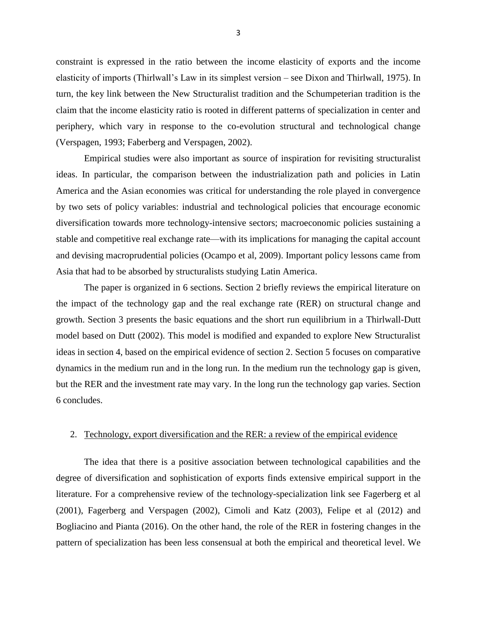constraint is expressed in the ratio between the income elasticity of exports and the income elasticity of imports (Thirlwall's Law in its simplest version – see Dixon and Thirlwall, 1975). In turn, the key link between the New Structuralist tradition and the Schumpeterian tradition is the claim that the income elasticity ratio is rooted in different patterns of specialization in center and periphery, which vary in response to the co-evolution structural and technological change (Verspagen, 1993; Faberberg and Verspagen, 2002).

Empirical studies were also important as source of inspiration for revisiting structuralist ideas. In particular, the comparison between the industrialization path and policies in Latin America and the Asian economies was critical for understanding the role played in convergence by two sets of policy variables: industrial and technological policies that encourage economic diversification towards more technology-intensive sectors; macroeconomic policies sustaining a stable and competitive real exchange rate—with its implications for managing the capital account and devising macroprudential policies (Ocampo et al, 2009). Important policy lessons came from Asia that had to be absorbed by structuralists studying Latin America.

The paper is organized in 6 sections. Section 2 briefly reviews the empirical literature on the impact of the technology gap and the real exchange rate (RER) on structural change and growth. Section 3 presents the basic equations and the short run equilibrium in a Thirlwall-Dutt model based on Dutt (2002). This model is modified and expanded to explore New Structuralist ideas in section 4, based on the empirical evidence of section 2. Section 5 focuses on comparative dynamics in the medium run and in the long run. In the medium run the technology gap is given, but the RER and the investment rate may vary. In the long run the technology gap varies. Section 6 concludes.

#### 2. Technology, export diversification and the RER: a review of the empirical evidence

The idea that there is a positive association between technological capabilities and the degree of diversification and sophistication of exports finds extensive empirical support in the literature. For a comprehensive review of the technology-specialization link see Fagerberg et al (2001), Fagerberg and Verspagen (2002), Cimoli and Katz (2003), Felipe et al (2012) and Bogliacino and Pianta (2016). On the other hand, the role of the RER in fostering changes in the pattern of specialization has been less consensual at both the empirical and theoretical level. We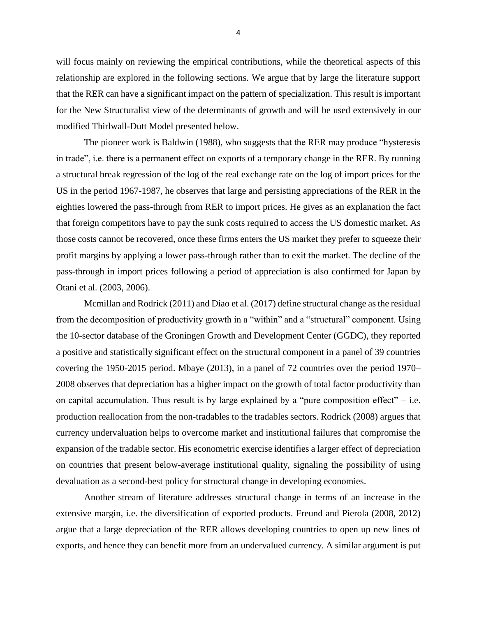will focus mainly on reviewing the empirical contributions, while the theoretical aspects of this relationship are explored in the following sections. We argue that by large the literature support that the RER can have a significant impact on the pattern of specialization. This result is important for the New Structuralist view of the determinants of growth and will be used extensively in our modified Thirlwall-Dutt Model presented below.

The pioneer work is Baldwin (1988), who suggests that the RER may produce "hysteresis in trade", i.e. there is a permanent effect on exports of a temporary change in the RER. By running a structural break regression of the log of the real exchange rate on the log of import prices for the US in the period 1967-1987, he observes that large and persisting appreciations of the RER in the eighties lowered the pass-through from RER to import prices. He gives as an explanation the fact that foreign competitors have to pay the sunk costs required to access the US domestic market. As those costs cannot be recovered, once these firms enters the US market they prefer to squeeze their profit margins by applying a lower pass-through rather than to exit the market. The decline of the pass-through in import prices following a period of appreciation is also confirmed for Japan by Otani et al. (2003, 2006).

Mcmillan and Rodrick (2011) and Diao et al. (2017) define structural change as the residual from the decomposition of productivity growth in a "within" and a "structural" component. Using the 10-sector database of the Groningen Growth and Development Center (GGDC), they reported a positive and statistically significant effect on the structural component in a panel of 39 countries covering the 1950-2015 period. Mbaye (2013), in a panel of 72 countries over the period 1970– 2008 observes that depreciation has a higher impact on the growth of total factor productivity than on capital accumulation. Thus result is by large explained by a "pure composition effect"  $-$  i.e. production reallocation from the non-tradables to the tradables sectors. Rodrick (2008) argues that currency undervaluation helps to overcome market and institutional failures that compromise the expansion of the tradable sector. His econometric exercise identifies a larger effect of depreciation on countries that present below-average institutional quality, signaling the possibility of using devaluation as a second-best policy for structural change in developing economies.

Another stream of literature addresses structural change in terms of an increase in the extensive margin, i.e. the diversification of exported products. Freund and Pierola (2008, 2012) argue that a large depreciation of the RER allows developing countries to open up new lines of exports, and hence they can benefit more from an undervalued currency. A similar argument is put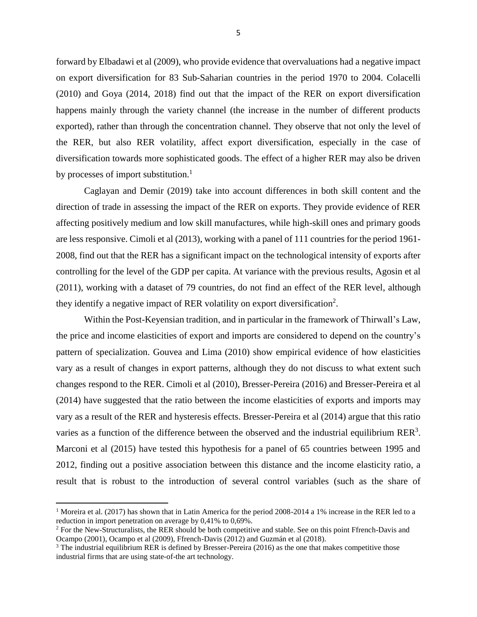forward by Elbadawi et al (2009), who provide evidence that overvaluations had a negative impact on export diversification for 83 Sub-Saharian countries in the period 1970 to 2004. Colacelli (2010) and Goya (2014, 2018) find out that the impact of the RER on export diversification happens mainly through the variety channel (the increase in the number of different products exported), rather than through the concentration channel. They observe that not only the level of the RER, but also RER volatility, affect export diversification, especially in the case of diversification towards more sophisticated goods. The effect of a higher RER may also be driven by processes of import substitution.<sup>1</sup>

Caglayan and Demir (2019) take into account differences in both skill content and the direction of trade in assessing the impact of the RER on exports. They provide evidence of RER affecting positively medium and low skill manufactures, while high-skill ones and primary goods are less responsive. Cimoli et al (2013), working with a panel of 111 countries for the period 1961- 2008, find out that the RER has a significant impact on the technological intensity of exports after controlling for the level of the GDP per capita. At variance with the previous results, Agosin et al (2011), working with a dataset of 79 countries, do not find an effect of the RER level, although they identify a negative impact of RER volatility on export diversification<sup>2</sup>.

Within the Post-Keyensian tradition, and in particular in the framework of Thirwall's Law, the price and income elasticities of export and imports are considered to depend on the country's pattern of specialization. Gouvea and Lima (2010) show empirical evidence of how elasticities vary as a result of changes in export patterns, although they do not discuss to what extent such changes respond to the RER. Cimoli et al (2010), Bresser-Pereira (2016) and Bresser-Pereira et al (2014) have suggested that the ratio between the income elasticities of exports and imports may vary as a result of the RER and hysteresis effects. Bresser-Pereira et al (2014) argue that this ratio varies as a function of the difference between the observed and the industrial equilibrium  $RER<sup>3</sup>$ . Marconi et al (2015) have tested this hypothesis for a panel of 65 countries between 1995 and 2012, finding out a positive association between this distance and the income elasticity ratio, a result that is robust to the introduction of several control variables (such as the share of

 $\overline{\phantom{a}}$ 

<sup>&</sup>lt;sup>1</sup> Moreira et al. (2017) has shown that in Latin America for the period 2008-2014 a 1% increase in the RER led to a reduction in import penetration on average by 0,41% to 0,69%.

<sup>&</sup>lt;sup>2</sup> For the New-Structuralists, the RER should be both competitive and stable. See on this point Ffrench-Davis and Ocampo (2001), Ocampo et al (2009), Ffrench-Davis (2012) and Guzmán et al (2018).

<sup>&</sup>lt;sup>3</sup> The industrial equilibrium RER is defined by Bresser-Pereira (2016) as the one that makes competitive those industrial firms that are using state-of-the art technology.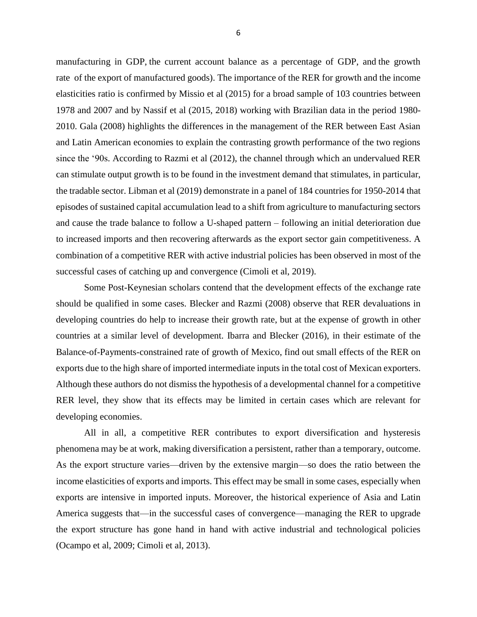manufacturing in GDP, the current account balance as a percentage of GDP, and the growth rate of the export of manufactured goods). The importance of the RER for growth and the income elasticities ratio is confirmed by Missio et al (2015) for a broad sample of 103 countries between 1978 and 2007 and by Nassif et al (2015, 2018) working with Brazilian data in the period 1980- 2010. Gala (2008) highlights the differences in the management of the RER between East Asian and Latin American economies to explain the contrasting growth performance of the two regions since the '90s. According to Razmi et al (2012), the channel through which an undervalued RER can stimulate output growth is to be found in the investment demand that stimulates, in particular, the tradable sector. Libman et al (2019) demonstrate in a panel of 184 countries for 1950-2014 that episodes of sustained capital accumulation lead to a shift from agriculture to manufacturing sectors and cause the trade balance to follow a U-shaped pattern – following an initial deterioration due to increased imports and then recovering afterwards as the export sector gain competitiveness. A combination of a competitive RER with active industrial policies has been observed in most of the successful cases of catching up and convergence (Cimoli et al, 2019).

Some Post-Keynesian scholars contend that the development effects of the exchange rate should be qualified in some cases. Blecker and Razmi (2008) observe that RER devaluations in developing countries do help to increase their growth rate, but at the expense of growth in other countries at a similar level of development. Ibarra and Blecker (2016), in their estimate of the Balance-of-Payments-constrained rate of growth of Mexico, find out small effects of the RER on exports due to the high share of imported intermediate inputs in the total cost of Mexican exporters. Although these authors do not dismiss the hypothesis of a developmental channel for a competitive RER level, they show that its effects may be limited in certain cases which are relevant for developing economies.

All in all, a competitive RER contributes to export diversification and hysteresis phenomena may be at work, making diversification a persistent, rather than a temporary, outcome. As the export structure varies—driven by the extensive margin—so does the ratio between the income elasticities of exports and imports. This effect may be small in some cases, especially when exports are intensive in imported inputs. Moreover, the historical experience of Asia and Latin America suggests that—in the successful cases of convergence—managing the RER to upgrade the export structure has gone hand in hand with active industrial and technological policies (Ocampo et al, 2009; Cimoli et al, 2013).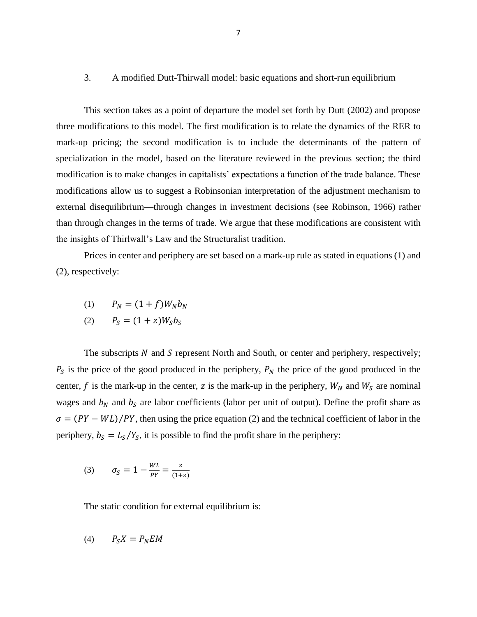#### 3. A modified Dutt-Thirwall model: basic equations and short-run equilibrium

This section takes as a point of departure the model set forth by Dutt (2002) and propose three modifications to this model. The first modification is to relate the dynamics of the RER to mark-up pricing; the second modification is to include the determinants of the pattern of specialization in the model, based on the literature reviewed in the previous section; the third modification is to make changes in capitalists' expectations a function of the trade balance. These modifications allow us to suggest a Robinsonian interpretation of the adjustment mechanism to external disequilibrium—through changes in investment decisions (see Robinson, 1966) rather than through changes in the terms of trade. We argue that these modifications are consistent with the insights of Thirlwall's Law and the Structuralist tradition.

Prices in center and periphery are set based on a mark-up rule as stated in equations (1) and (2), respectively:

$$
(1) \qquad P_N = (1+f)W_N b_N
$$

$$
(2) \qquad P_S = (1+z)W_S b_S
$$

The subscripts  $N$  and  $S$  represent North and South, or center and periphery, respectively;  $P<sub>S</sub>$  is the price of the good produced in the periphery,  $P<sub>N</sub>$  the price of the good produced in the center, f is the mark-up in the center, z is the mark-up in the periphery,  $W_N$  and  $W_S$  are nominal wages and  $b_N$  and  $b_S$  are labor coefficients (labor per unit of output). Define the profit share as  $\sigma = (PY - WL)/PY$ , then using the price equation (2) and the technical coefficient of labor in the periphery,  $b_s = L_s/Y_s$ , it is possible to find the profit share in the periphery:

(3) 
$$
\sigma_S = 1 - \frac{WL}{PY} = \frac{z}{(1+z)}
$$

The static condition for external equilibrium is:

$$
(4) \qquad P_S X = P_N E M
$$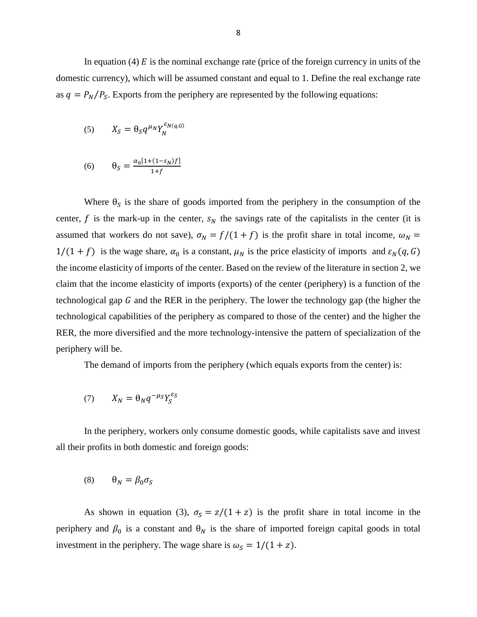In equation (4)  $E$  is the nominal exchange rate (price of the foreign currency in units of the domestic currency), which will be assumed constant and equal to 1. Define the real exchange rate as  $q = P_N/P_S$ . Exports from the periphery are represented by the following equations:

$$
(5) \qquad X_S = \theta_S q^{\mu_N} Y_N^{\varepsilon_{N(q,G)}}
$$

$$
(6) \qquad \theta_S = \frac{\alpha_0[1 + (1 - s_N)f]}{1 + f}
$$

Where  $\theta_s$  is the share of goods imported from the periphery in the consumption of the center,  $f$  is the mark-up in the center,  $s_N$  the savings rate of the capitalists in the center (it is assumed that workers do not save),  $\sigma_N = f/(1+f)$  is the profit share in total income,  $\omega_N =$  $1/(1 + f)$  is the wage share,  $\alpha_0$  is a constant,  $\mu_N$  is the price elasticity of imports and  $\varepsilon_N(q, G)$ the income elasticity of imports of the center. Based on the review of the literature in section 2, we claim that the income elasticity of imports (exports) of the center (periphery) is a function of the technological gap  $G$  and the RER in the periphery. The lower the technology gap (the higher the technological capabilities of the periphery as compared to those of the center) and the higher the RER, the more diversified and the more technology-intensive the pattern of specialization of the periphery will be.

The demand of imports from the periphery (which equals exports from the center) is:

$$
(7) \qquad X_N = \theta_N q^{-\mu_S} Y_S^{\varepsilon_S}
$$

In the periphery, workers only consume domestic goods, while capitalists save and invest all their profits in both domestic and foreign goods:

$$
(8) \qquad \theta_N = \beta_0 \sigma_S
$$

As shown in equation (3),  $\sigma_s = z/(1 + z)$  is the profit share in total income in the periphery and  $\beta_0$  is a constant and  $\theta_N$  is the share of imported foreign capital goods in total investment in the periphery. The wage share is  $\omega_s = 1/(1 + z)$ .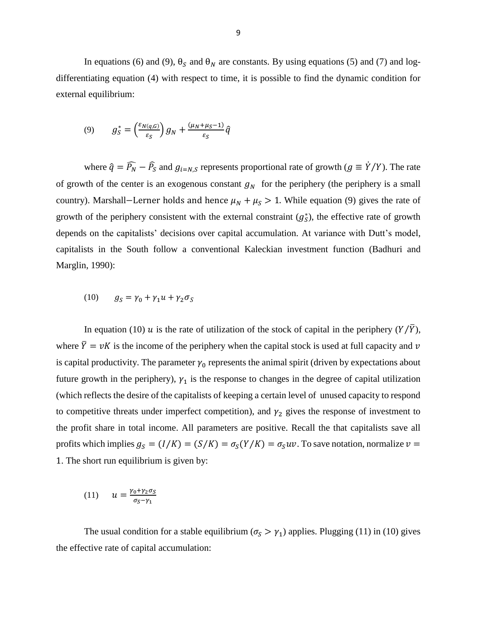In equations (6) and (9),  $\theta_s$  and  $\theta_N$  are constants. By using equations (5) and (7) and logdifferentiating equation (4) with respect to time, it is possible to find the dynamic condition for external equilibrium:

(9) 
$$
g_S^* = \left(\frac{\varepsilon_{N(q,G)}}{\varepsilon_S}\right)g_N + \frac{(\mu_N + \mu_S - 1)}{\varepsilon_S}\hat{q}
$$

where  $\hat{q} = \widehat{P}_N - \widehat{P}_S$  and  $g_{i=N,S}$  represents proportional rate of growth ( $g \equiv \dot{Y}/Y$ ). The rate of growth of the center is an exogenous constant  $g_N$  for the periphery (the periphery is a small country). Marshall–Lerner holds and hence  $\mu_N + \mu_S > 1$ . While equation (9) gives the rate of growth of the periphery consistent with the external constraint  $(g_s^*)$ , the effective rate of growth depends on the capitalists' decisions over capital accumulation. At variance with Dutt's model, capitalists in the South follow a conventional Kaleckian investment function (Badhuri and Marglin, 1990):

$$
(10) \qquad g_S = \gamma_0 + \gamma_1 u + \gamma_2 \sigma_S
$$

In equation (10) u is the rate of utilization of the stock of capital in the periphery  $(Y/\overline{Y})$ , where  $\overline{Y} = vK$  is the income of the periphery when the capital stock is used at full capacity and v is capital productivity. The parameter  $\gamma_0$  represents the animal spirit (driven by expectations about future growth in the periphery),  $\gamma_1$  is the response to changes in the degree of capital utilization (which reflects the desire of the capitalists of keeping a certain level of unused capacity to respond to competitive threats under imperfect competition), and  $\gamma_2$  gives the response of investment to the profit share in total income. All parameters are positive. Recall the that capitalists save all profits which implies  $g_S = (I/K) = (S/K) = \sigma_S(Y/K) = \sigma_S uv$ . To save notation, normalize  $v =$ 1. The short run equilibrium is given by:

$$
(11) \qquad u = \frac{\gamma_0 + \gamma_2 \sigma_S}{\sigma_S - \gamma_1}
$$

The usual condition for a stable equilibrium ( $\sigma_s > \gamma_1$ ) applies. Plugging (11) in (10) gives the effective rate of capital accumulation: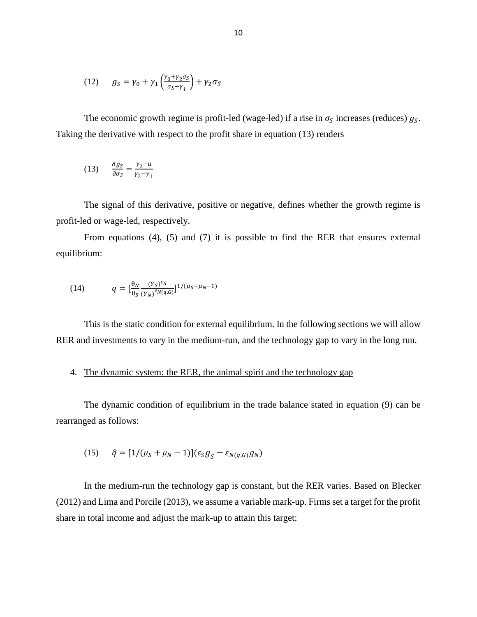$$
(12) \qquad g_S = \gamma_0 + \gamma_1 \left( \frac{\gamma_0 + \gamma_2 \sigma_S}{\sigma_S - \gamma_1} \right) + \gamma_2 \sigma_S
$$

The economic growth regime is profit-led (wage-led) if a rise in  $\sigma_S$  increases (reduces)  $g_S$ . Taking the derivative with respect to the profit share in equation (13) renders

$$
(13)\qquad \frac{\partial g_S}{\partial \sigma_S} = \frac{\gamma_2 - u}{\gamma_2 - \gamma_1}
$$

The signal of this derivative, positive or negative, defines whether the growth regime is profit-led or wage-led, respectively.

From equations (4), (5) and (7) it is possible to find the RER that ensures external equilibrium:

(14) 
$$
q = \left[\frac{\theta_N}{\theta_S} \frac{(Y_S)^{\varepsilon_S}}{(Y_N)^{\varepsilon_N}(q, G)}\right]^{1/(\mu_S + \mu_N - 1)}
$$

This is the static condition for external equilibrium. In the following sections we will allow RER and investments to vary in the medium-run, and the technology gap to vary in the long run.

#### 4. The dynamic system: the RER, the animal spirit and the technology gap

The dynamic condition of equilibrium in the trade balance stated in equation (9) can be rearranged as follows:

$$
(15) \qquad \hat{q} = [1/(\mu_S + \mu_N - 1)](\varepsilon_S g_S - \varepsilon_{N(q,G)} g_N)
$$

In the medium-run the technology gap is constant, but the RER varies. Based on Blecker (2012) and Lima and Porcile (2013), we assume a variable mark-up. Firms set a target for the profit share in total income and adjust the mark-up to attain this target: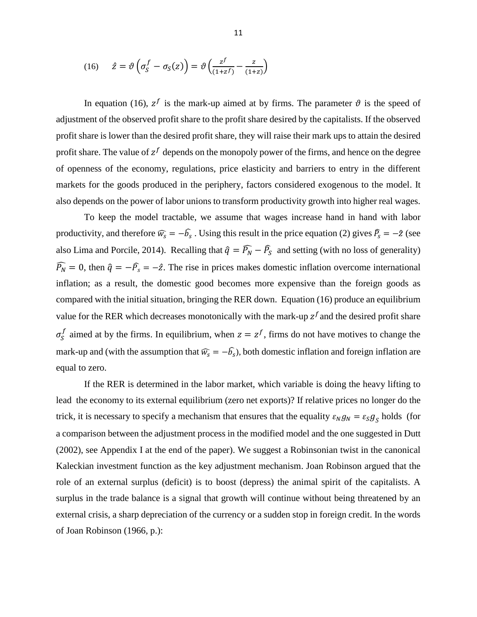(16) 
$$
\hat{z} = \vartheta \left( \sigma_S^f - \sigma_S(z) \right) = \vartheta \left( \frac{z^f}{(1+z^f)} - \frac{z}{(1+z)} \right)
$$

In equation (16),  $z^f$  is the mark-up aimed at by firms. The parameter  $\vartheta$  is the speed of adjustment of the observed profit share to the profit share desired by the capitalists. If the observed profit share is lower than the desired profit share, they will raise their mark ups to attain the desired profit share. The value of  $z^f$  depends on the monopoly power of the firms, and hence on the degree of openness of the economy, regulations, price elasticity and barriers to entry in the different markets for the goods produced in the periphery, factors considered exogenous to the model. It also depends on the power of labor unions to transform productivity growth into higher real wages.

To keep the model tractable, we assume that wages increase hand in hand with labor productivity, and therefore  $\widehat{w_s} = -\widehat{b_s}$ . Using this result in the price equation (2) gives  $\widehat{P_s} = -\widehat{z}$  (see also Lima and Porcile, 2014). Recalling that  $\hat{q} = \widehat{P_N} - \widehat{P_S}$  and setting (with no loss of generality)  $\widehat{P}_N = 0$ , then  $\hat{q} = -\widehat{P}_s = -\hat{z}$ . The rise in prices makes domestic inflation overcome international inflation; as a result, the domestic good becomes more expensive than the foreign goods as compared with the initial situation, bringing the RER down. Equation (16) produce an equilibrium value for the RER which decreases monotonically with the mark-up  $z<sup>f</sup>$  and the desired profit share  $\sigma_s^f$  aimed at by the firms. In equilibrium, when  $z = z^f$ , firms do not have motives to change the mark-up and (with the assumption that  $\widehat{w_s} = -\widehat{b_s}$ ), both domestic inflation and foreign inflation are equal to zero.

If the RER is determined in the labor market, which variable is doing the heavy lifting to lead the economy to its external equilibrium (zero net exports)? If relative prices no longer do the trick, it is necessary to specify a mechanism that ensures that the equality  $\varepsilon_N g_N = \varepsilon_S g_S$  holds (for a comparison between the adjustment process in the modified model and the one suggested in Dutt (2002), see Appendix I at the end of the paper). We suggest a Robinsonian twist in the canonical Kaleckian investment function as the key adjustment mechanism. Joan Robinson argued that the role of an external surplus (deficit) is to boost (depress) the animal spirit of the capitalists. A surplus in the trade balance is a signal that growth will continue without being threatened by an external crisis, a sharp depreciation of the currency or a sudden stop in foreign credit. In the words of Joan Robinson (1966, p.):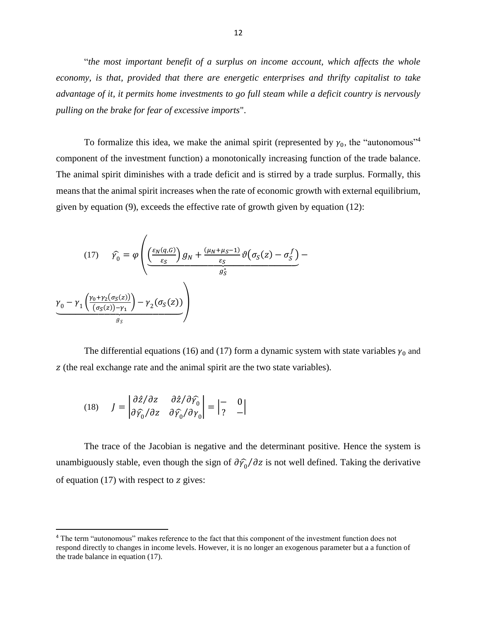"*the most important benefit of a surplus on income account, which affects the whole economy, is that, provided that there are energetic enterprises and thrifty capitalist to take advantage of it, it permits home investments to go full steam while a deficit country is nervously pulling on the brake for fear of excessive imports*".

To formalize this idea, we make the animal spirit (represented by  $\gamma_0$ , the "autonomous"<sup>4</sup> component of the investment function) a monotonically increasing function of the trade balance. The animal spirit diminishes with a trade deficit and is stirred by a trade surplus. Formally, this means that the animal spirit increases when the rate of economic growth with external equilibrium, given by equation (9), exceeds the effective rate of growth given by equation (12):

(17) 
$$
\widehat{\gamma}_{0} = \varphi \left( \underbrace{\left( \frac{\varepsilon_{N}(q,G)}{\varepsilon_{S}} \right) g_{N} + \frac{(\mu_{N} + \mu_{S} - 1)}{\varepsilon_{S}} \vartheta \left( \sigma_{S}(z) - \sigma_{S}^{f} \right)}_{g_{S}^{*}} - \frac{\gamma_{0} - \gamma_{1} \left( \frac{\gamma_{0} + \gamma_{2}(\sigma_{S}(z))}{(\sigma_{S}(z)) - \gamma_{1}} \right) - \gamma_{2}(\sigma_{S}(z))}{g_{S}} \right)
$$

The differential equations (16) and (17) form a dynamic system with state variables  $\gamma_0$  and (the real exchange rate and the animal spirit are the two state variables).

(18) 
$$
J = \begin{vmatrix} \frac{\partial \hat{z}}{\partial \hat{r}} & \frac{\partial \hat{z}}{\partial \hat{r}} \\ \frac{\partial \hat{r}}{\partial \hat{r}} & \frac{\partial \hat{r}}{\partial \hat{r}} \end{vmatrix} = \begin{vmatrix} - & 0 \\ 2 & - \end{vmatrix}
$$

 $\overline{\phantom{a}}$ 

The trace of the Jacobian is negative and the determinant positive. Hence the system is unambiguously stable, even though the sign of  $\partial \hat{\gamma_0}/\partial z$  is not well defined. Taking the derivative of equation  $(17)$  with respect to z gives:

<sup>4</sup> The term "autonomous" makes reference to the fact that this component of the investment function does not respond directly to changes in income levels. However, it is no longer an exogenous parameter but a a function of the trade balance in equation (17).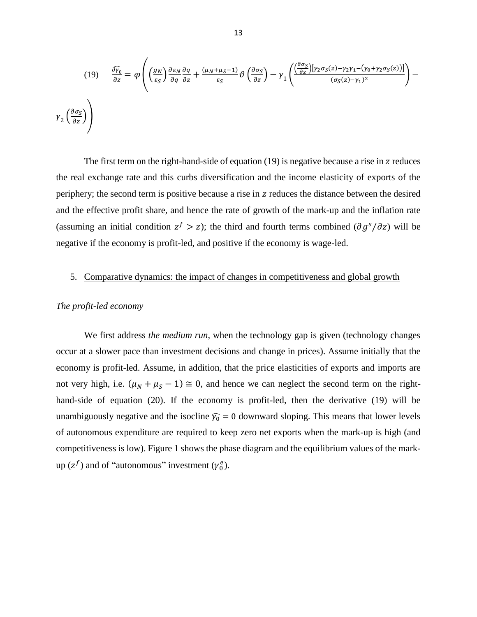(19) 
$$
\frac{\partial \widehat{y}_0}{\partial z} = \varphi \left( \left( \frac{g_N}{\varepsilon_S} \right) \frac{\partial \varepsilon_N}{\partial q} \frac{\partial q}{\partial z} + \frac{(\mu_N + \mu_S - 1)}{\varepsilon_S} \vartheta \left( \frac{\partial \sigma_S}{\partial z} \right) - \gamma_1 \left( \frac{\left( \frac{\partial \sigma_S}{\partial z} \right) [\gamma_2 \sigma_S(z) - \gamma_2 \gamma_1 - (\gamma_0 + \gamma_2 \sigma_S(z))]}{(\sigma_S(z) - \gamma_1)^2} \right) - \gamma_2 \left( \frac{\partial \sigma_S}{\partial z} \right) \right)
$$

The first term on the right-hand-side of equation  $(19)$  is negative because a rise in  $z$  reduces the real exchange rate and this curbs diversification and the income elasticity of exports of the periphery; the second term is positive because a rise in z reduces the distance between the desired and the effective profit share, and hence the rate of growth of the mark-up and the inflation rate (assuming an initial condition  $z^f > z$ ); the third and fourth terms combined  $(\partial g^s / \partial z)$  will be negative if the economy is profit-led, and positive if the economy is wage-led.

#### 5. Comparative dynamics: the impact of changes in competitiveness and global growth

#### *The profit-led economy*

We first address *the medium run*, when the technology gap is given (technology changes occur at a slower pace than investment decisions and change in prices). Assume initially that the economy is profit-led. Assume, in addition, that the price elasticities of exports and imports are not very high, i.e.  $(\mu_N + \mu_S - 1) \approx 0$ , and hence we can neglect the second term on the righthand-side of equation (20). If the economy is profit-led, then the derivative (19) will be unambiguously negative and the isocline  $\widehat{\gamma_0} = 0$  downward sloping. This means that lower levels of autonomous expenditure are required to keep zero net exports when the mark-up is high (and competitiveness is low). Figure 1 shows the phase diagram and the equilibrium values of the markup ( $z^f$ ) and of "autonomous" investment ( $\gamma_0^e$ ).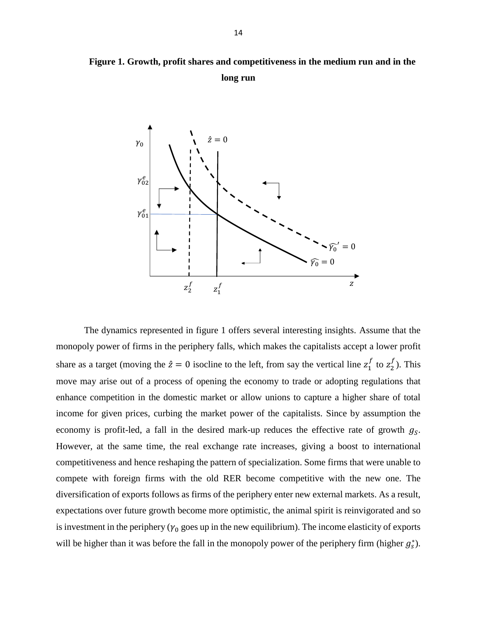



The dynamics represented in figure 1 offers several interesting insights. Assume that the monopoly power of firms in the periphery falls, which makes the capitalists accept a lower profit share as a target (moving the  $\hat{z} = 0$  isocline to the left, from say the vertical line  $z_1^f$  to  $z_2^f$ ). This move may arise out of a process of opening the economy to trade or adopting regulations that enhance competition in the domestic market or allow unions to capture a higher share of total income for given prices, curbing the market power of the capitalists. Since by assumption the economy is profit-led, a fall in the desired mark-up reduces the effective rate of growth  $g_s$ . However, at the same time, the real exchange rate increases, giving a boost to international competitiveness and hence reshaping the pattern of specialization. Some firms that were unable to compete with foreign firms with the old RER become competitive with the new one. The diversification of exports follows as firms of the periphery enter new external markets. As a result, expectations over future growth become more optimistic, the animal spirit is reinvigorated and so is investment in the periphery ( $\gamma_0$  goes up in the new equilibrium). The income elasticity of exports will be higher than it was before the fall in the monopoly power of the periphery firm (higher  $g_s^*$ ).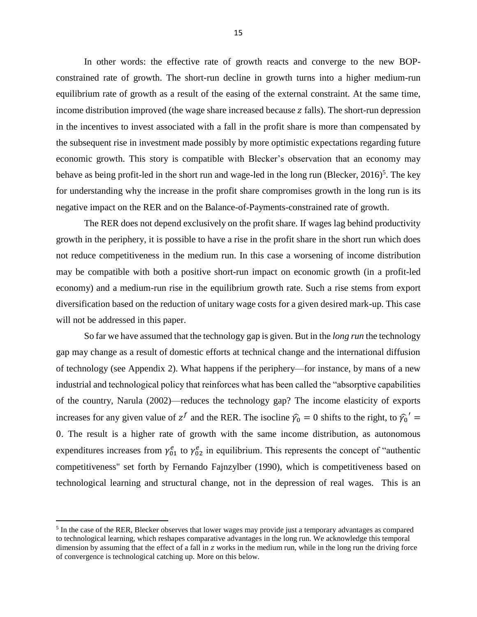In other words: the effective rate of growth reacts and converge to the new BOPconstrained rate of growth. The short-run decline in growth turns into a higher medium-run equilibrium rate of growth as a result of the easing of the external constraint. At the same time, income distribution improved (the wage share increased because z falls). The short-run depression in the incentives to invest associated with a fall in the profit share is more than compensated by the subsequent rise in investment made possibly by more optimistic expectations regarding future economic growth. This story is compatible with Blecker's observation that an economy may behave as being profit-led in the short run and wage-led in the long run (Blecker,  $2016$ )<sup>5</sup>. The key for understanding why the increase in the profit share compromises growth in the long run is its negative impact on the RER and on the Balance-of-Payments-constrained rate of growth.

The RER does not depend exclusively on the profit share. If wages lag behind productivity growth in the periphery, it is possible to have a rise in the profit share in the short run which does not reduce competitiveness in the medium run. In this case a worsening of income distribution may be compatible with both a positive short-run impact on economic growth (in a profit-led economy) and a medium-run rise in the equilibrium growth rate. Such a rise stems from export diversification based on the reduction of unitary wage costs for a given desired mark-up. This case will not be addressed in this paper.

So far we have assumed that the technology gap is given. But in the *long run* the technology gap may change as a result of domestic efforts at technical change and the international diffusion of technology (see Appendix 2). What happens if the periphery—for instance, by mans of a new industrial and technological policy that reinforces what has been called the "absorptive capabilities of the country, Narula (2002)—reduces the technology gap? The income elasticity of exports increases for any given value of  $z^f$  and the RER. The isocline  $\hat{\gamma}_0 = 0$  shifts to the right, to  $\hat{\gamma}_0' =$ 0. The result is a higher rate of growth with the same income distribution, as autonomous expenditures increases from  $\gamma_{01}^e$  to  $\gamma_{02}^e$  in equilibrium. This represents the concept of "authentic competitiveness" set forth by Fernando Fajnzylber (1990), which is competitiveness based on technological learning and structural change, not in the depression of real wages. This is an

l

<sup>&</sup>lt;sup>5</sup> In the case of the RER, Blecker observes that lower wages may provide just a temporary advantages as compared to technological learning, which reshapes comparative advantages in the long run. We acknowledge this temporal dimension by assuming that the effect of a fall in z works in the medium run, while in the long run the driving force of convergence is technological catching up. More on this below.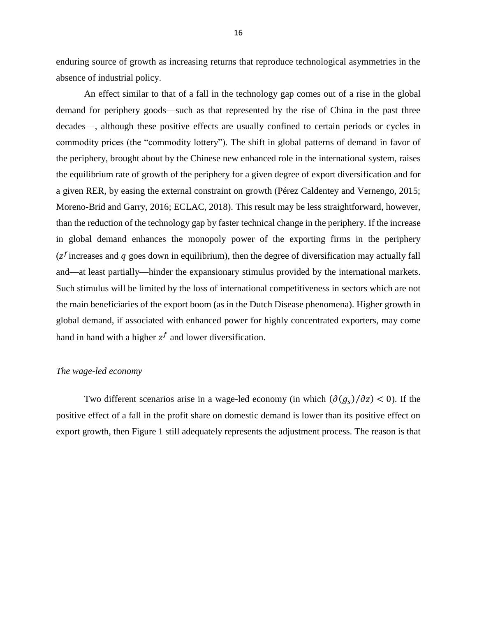enduring source of growth as increasing returns that reproduce technological asymmetries in the absence of industrial policy.

An effect similar to that of a fall in the technology gap comes out of a rise in the global demand for periphery goods—such as that represented by the rise of China in the past three decades—, although these positive effects are usually confined to certain periods or cycles in commodity prices (the "commodity lottery"). The shift in global patterns of demand in favor of the periphery, brought about by the Chinese new enhanced role in the international system, raises the equilibrium rate of growth of the periphery for a given degree of export diversification and for a given RER, by easing the external constraint on growth (Pérez Caldentey and Vernengo, 2015; Moreno-Brid and Garry, 2016; ECLAC, 2018). This result may be less straightforward, however, than the reduction of the technology gap by faster technical change in the periphery. If the increase in global demand enhances the monopoly power of the exporting firms in the periphery ( $z<sup>f</sup>$  increases and q goes down in equilibrium), then the degree of diversification may actually fall and—at least partially—hinder the expansionary stimulus provided by the international markets. Such stimulus will be limited by the loss of international competitiveness in sectors which are not the main beneficiaries of the export boom (as in the Dutch Disease phenomena). Higher growth in global demand, if associated with enhanced power for highly concentrated exporters, may come hand in hand with a higher  $z^f$  and lower diversification.

#### *The wage-led economy*

Two different scenarios arise in a wage-led economy (in which  $(\partial(g_s)/\partial z) < 0$ ). If the positive effect of a fall in the profit share on domestic demand is lower than its positive effect on export growth, then Figure 1 still adequately represents the adjustment process. The reason is that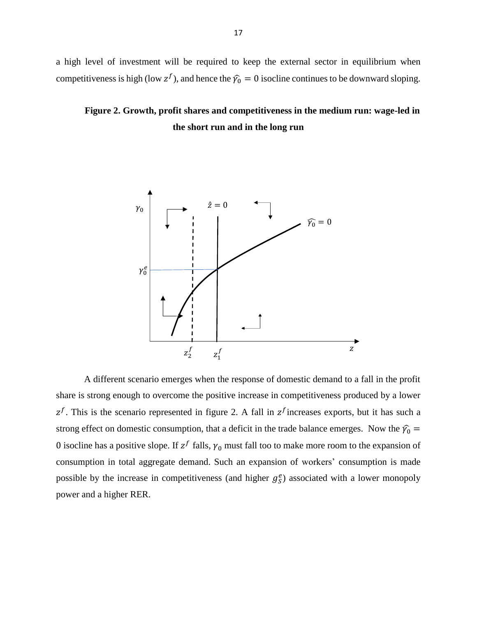a high level of investment will be required to keep the external sector in equilibrium when competitiveness is high (low  $z^f$ ), and hence the  $\hat{\gamma}_0 = 0$  isocline continues to be downward sloping.

### **Figure 2. Growth, profit shares and competitiveness in the medium run: wage-led in the short run and in the long run**



A different scenario emerges when the response of domestic demand to a fall in the profit share is strong enough to overcome the positive increase in competitiveness produced by a lower  $z<sup>f</sup>$ . This is the scenario represented in figure 2. A fall in  $z<sup>f</sup>$  increases exports, but it has such a strong effect on domestic consumption, that a deficit in the trade balance emerges. Now the  $\hat{\gamma}_0$  = 0 isocline has a positive slope. If  $z^f$  falls,  $\gamma_0$  must fall too to make more room to the expansion of consumption in total aggregate demand. Such an expansion of workers' consumption is made possible by the increase in competitiveness (and higher  $g_S^e$ ) associated with a lower monopoly power and a higher RER.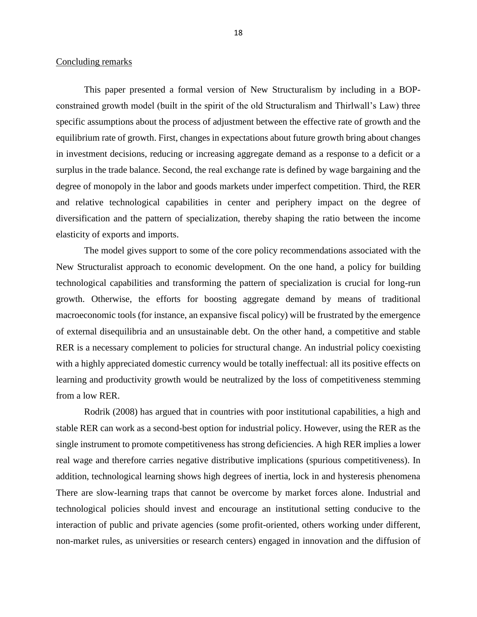#### Concluding remarks

This paper presented a formal version of New Structuralism by including in a BOPconstrained growth model (built in the spirit of the old Structuralism and Thirlwall's Law) three specific assumptions about the process of adjustment between the effective rate of growth and the equilibrium rate of growth. First, changes in expectations about future growth bring about changes in investment decisions, reducing or increasing aggregate demand as a response to a deficit or a surplus in the trade balance. Second, the real exchange rate is defined by wage bargaining and the degree of monopoly in the labor and goods markets under imperfect competition. Third, the RER and relative technological capabilities in center and periphery impact on the degree of diversification and the pattern of specialization, thereby shaping the ratio between the income elasticity of exports and imports.

The model gives support to some of the core policy recommendations associated with the New Structuralist approach to economic development. On the one hand, a policy for building technological capabilities and transforming the pattern of specialization is crucial for long-run growth. Otherwise, the efforts for boosting aggregate demand by means of traditional macroeconomic tools (for instance, an expansive fiscal policy) will be frustrated by the emergence of external disequilibria and an unsustainable debt. On the other hand, a competitive and stable RER is a necessary complement to policies for structural change. An industrial policy coexisting with a highly appreciated domestic currency would be totally ineffectual: all its positive effects on learning and productivity growth would be neutralized by the loss of competitiveness stemming from a low RER.

Rodrik (2008) has argued that in countries with poor institutional capabilities, a high and stable RER can work as a second-best option for industrial policy. However, using the RER as the single instrument to promote competitiveness has strong deficiencies. A high RER implies a lower real wage and therefore carries negative distributive implications (spurious competitiveness). In addition, technological learning shows high degrees of inertia, lock in and hysteresis phenomena There are slow-learning traps that cannot be overcome by market forces alone. Industrial and technological policies should invest and encourage an institutional setting conducive to the interaction of public and private agencies (some profit-oriented, others working under different, non-market rules, as universities or research centers) engaged in innovation and the diffusion of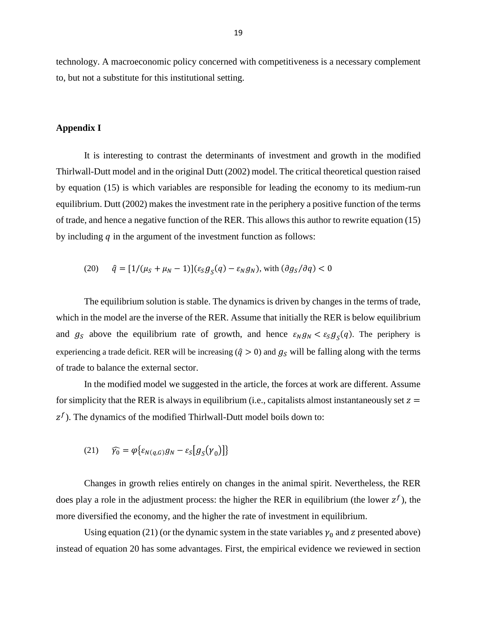technology. A macroeconomic policy concerned with competitiveness is a necessary complement to, but not a substitute for this institutional setting.

#### **Appendix I**

It is interesting to contrast the determinants of investment and growth in the modified Thirlwall-Dutt model and in the original Dutt (2002) model. The critical theoretical question raised by equation (15) is which variables are responsible for leading the economy to its medium-run equilibrium. Dutt (2002) makes the investment rate in the periphery a positive function of the terms of trade, and hence a negative function of the RER. This allows this author to rewrite equation (15) by including  $q$  in the argument of the investment function as follows:

(20) 
$$
\hat{q} = [1/(\mu_S + \mu_N - 1)](\varepsilon_S g_S(q) - \varepsilon_N g_N), \text{ with } (\partial g_S / \partial q) < 0
$$

The equilibrium solution is stable. The dynamics is driven by changes in the terms of trade, which in the model are the inverse of the RER. Assume that initially the RER is below equilibrium and  $g_S$  above the equilibrium rate of growth, and hence  $\varepsilon_N g_N < \varepsilon_S g_S(q)$ . The periphery is experiencing a trade deficit. RER will be increasing ( $\hat{q} > 0$ ) and  $g_s$  will be falling along with the terms of trade to balance the external sector.

In the modified model we suggested in the article, the forces at work are different. Assume for simplicity that the RER is always in equilibrium (i.e., capitalists almost instantaneously set  $z =$  $z^{f}$ ). The dynamics of the modified Thirlwall-Dutt model boils down to:

$$
(21) \qquad \widehat{\gamma_0} = \varphi \{ \varepsilon_{N(q,G)} g_N - \varepsilon_S [g_S(\gamma_0)] \}
$$

Changes in growth relies entirely on changes in the animal spirit. Nevertheless, the RER does play a role in the adjustment process: the higher the RER in equilibrium (the lower  $z<sup>f</sup>$ ), the more diversified the economy, and the higher the rate of investment in equilibrium.

Using equation (21) (or the dynamic system in the state variables  $\gamma_0$  and z presented above) instead of equation 20 has some advantages. First, the empirical evidence we reviewed in section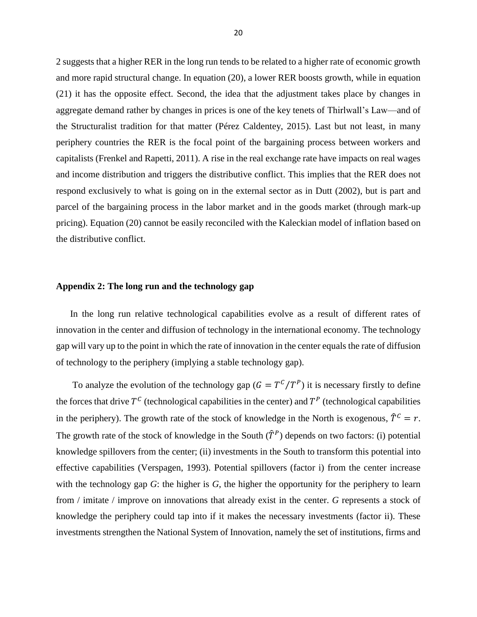2 suggests that a higher RER in the long run tends to be related to a higher rate of economic growth and more rapid structural change. In equation (20), a lower RER boosts growth, while in equation (21) it has the opposite effect. Second, the idea that the adjustment takes place by changes in aggregate demand rather by changes in prices is one of the key tenets of Thirlwall's Law—and of the Structuralist tradition for that matter (Pérez Caldentey, 2015). Last but not least, in many periphery countries the RER is the focal point of the bargaining process between workers and capitalists (Frenkel and Rapetti, 2011). A rise in the real exchange rate have impacts on real wages and income distribution and triggers the distributive conflict. This implies that the RER does not respond exclusively to what is going on in the external sector as in Dutt (2002), but is part and parcel of the bargaining process in the labor market and in the goods market (through mark-up pricing). Equation (20) cannot be easily reconciled with the Kaleckian model of inflation based on the distributive conflict.

#### **Appendix 2: The long run and the technology gap**

In the long run relative technological capabilities evolve as a result of different rates of innovation in the center and diffusion of technology in the international economy. The technology gap will vary up to the point in which the rate of innovation in the center equals the rate of diffusion of technology to the periphery (implying a stable technology gap).

To analyze the evolution of the technology gap  $(G = T^C/T^P)$  it is necessary firstly to define the forces that drive  $T^c$  (technological capabilities in the center) and  $T^P$  (technological capabilities in the periphery). The growth rate of the stock of knowledge in the North is exogenous,  $\hat{T}^c = r$ . The growth rate of the stock of knowledge in the South  $(\hat{T}^P)$  depends on two factors: (i) potential knowledge spillovers from the center; (ii) investments in the South to transform this potential into effective capabilities (Verspagen, 1993). Potential spillovers (factor i) from the center increase with the technology gap *G*: the higher is *G*, the higher the opportunity for the periphery to learn from / imitate / improve on innovations that already exist in the center. *G* represents a stock of knowledge the periphery could tap into if it makes the necessary investments (factor ii). These investments strengthen the National System of Innovation, namely the set of institutions, firms and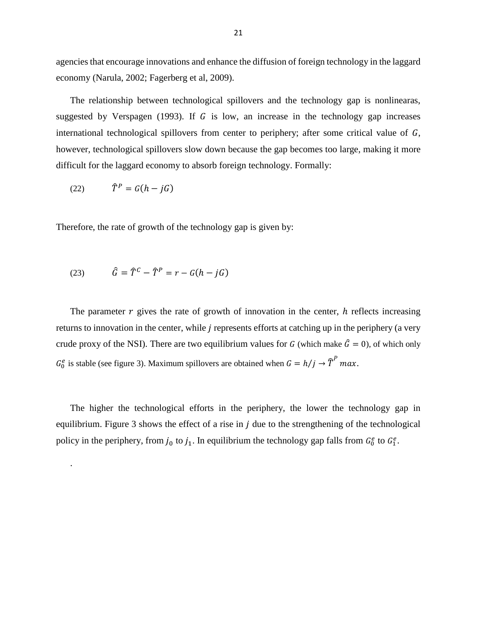agencies that encourage innovations and enhance the diffusion of foreign technology in the laggard economy (Narula, 2002; Fagerberg et al, 2009).

The relationship between technological spillovers and the technology gap is nonlinearas, suggested by Verspagen (1993). If  $G$  is low, an increase in the technology gap increases international technological spillovers from center to periphery; after some critical value of  $G$ , however, technological spillovers slow down because the gap becomes too large, making it more difficult for the laggard economy to absorb foreign technology. Formally:

$$
(22) \qquad \hat{T}^P = G(h - jG)
$$

.

Therefore, the rate of growth of the technology gap is given by:

(23) 
$$
\hat{G} = \hat{T}^c - \hat{T}^p = r - G(h - jG)
$$

The parameter  $r$  gives the rate of growth of innovation in the center,  $h$  reflects increasing returns to innovation in the center, while *j* represents efforts at catching up in the periphery (a very crude proxy of the NSI). There are two equilibrium values for G (which make  $\hat{G} = 0$ ), of which only  $G_0^e$  is stable (see figure 3). Maximum spillovers are obtained when  $G = h/j \rightarrow \hat{T}^P max$ .

The higher the technological efforts in the periphery, the lower the technology gap in equilibrium. Figure 3 shows the effect of a rise in  $j$  due to the strengthening of the technological policy in the periphery, from  $j_0$  to  $j_1$ . In equilibrium the technology gap falls from  $G_0^e$  to  $G_1^e$ .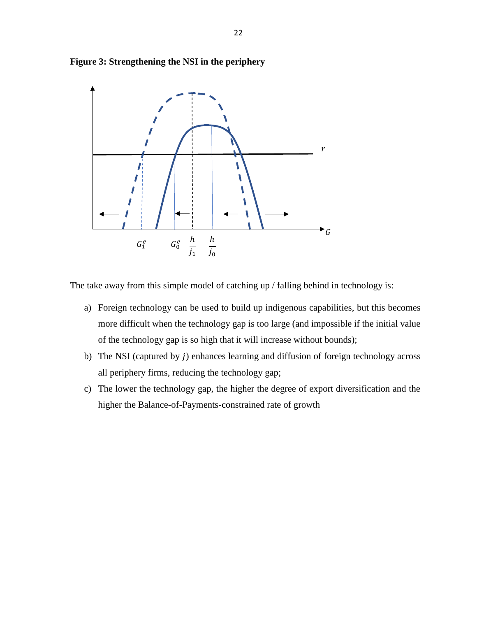

**Figure 3: Strengthening the NSI in the periphery**

The take away from this simple model of catching up / falling behind in technology is:

- a) Foreign technology can be used to build up indigenous capabilities, but this becomes more difficult when the technology gap is too large (and impossible if the initial value of the technology gap is so high that it will increase without bounds);
- b) The NSI (captured by  $j$ ) enhances learning and diffusion of foreign technology across all periphery firms, reducing the technology gap;
- c) The lower the technology gap, the higher the degree of export diversification and the higher the Balance-of-Payments-constrained rate of growth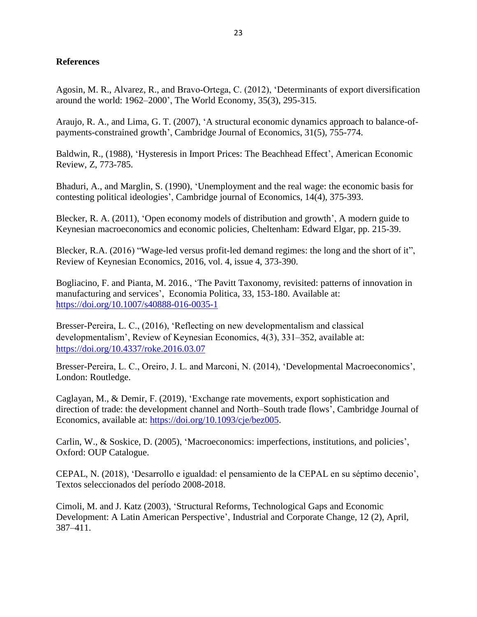#### **References**

Agosin, M. R., Alvarez, R., and Bravo‐Ortega, C. (2012), 'Determinants of export diversification around the world: 1962–2000', The World Economy, 35(3), 295-315.

Araujo, R. A., and Lima, G. T. (2007), 'A structural economic dynamics approach to balance-ofpayments-constrained growth', Cambridge Journal of Economics, 31(5), 755-774.

Baldwin, R., (1988), 'Hysteresis in Import Prices: The Beachhead Effect', American Economic Review, Z, 773-785.

Bhaduri, A., and Marglin, S. (1990), 'Unemployment and the real wage: the economic basis for contesting political ideologies', Cambridge journal of Economics, 14(4), 375-393.

Blecker, R. A. (2011), 'Open economy models of distribution and growth', A modern guide to Keynesian macroeconomics and economic policies, Cheltenham: Edward Elgar, pp. 215-39.

Blecker, R.A. (2016) "Wage-led versus profit-led demand regimes: the long and the short of it", Review of Keynesian Economics, 2016, vol. 4, issue 4, 373-390.

Bogliacino, F. and Pianta, M. 2016., 'The Pavitt Taxonomy, revisited: patterns of innovation in manufacturing and services', Economia Politica, 33, 153-180. Available at: <https://doi.org/10.1007/s40888-016-0035-1>

Bresser-Pereira, L. C., (2016), 'Reflecting on new developmentalism and classical developmentalism', Review of Keynesian Economics, 4(3), 331–352, available at: <https://doi.org/10.4337/roke.2016.03.07>

Bresser-Pereira, L. C., Oreiro, J. L. and Marconi, N. (2014), 'Developmental Macroeconomics', London: Routledge.

Caglayan, M., & Demir, F. (2019), 'Exchange rate movements, export sophistication and direction of trade: the development channel and North–South trade flows', Cambridge Journal of Economics, available at: [https://doi.org/10.1093/cje/bez005.](https://doi.org/10.1093/cje/bez005)

Carlin, W., & Soskice, D. (2005), 'Macroeconomics: imperfections, institutions, and policies', Oxford: OUP Catalogue.

CEPAL, N. (2018), 'Desarrollo e igualdad: el pensamiento de la CEPAL en su séptimo decenio', Textos seleccionados del período 2008-2018.

Cimoli, M. and J. Katz (2003), 'Structural Reforms, Technological Gaps and Economic Development: A Latin American Perspective', Industrial and Corporate Change, 12 (2), April, 387–411.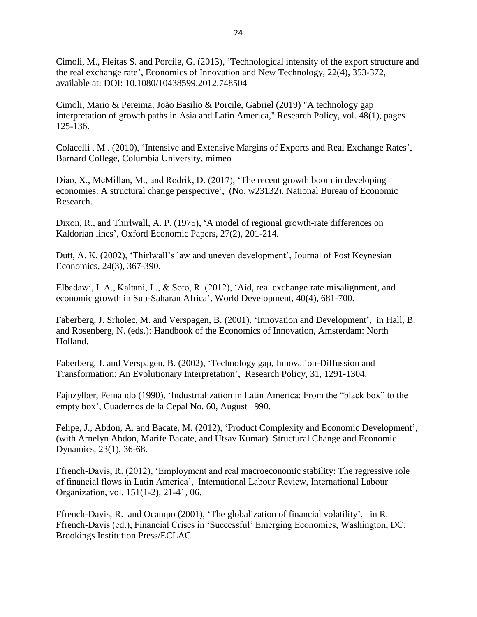Cimoli, M., Fleitas S. and Porcile, G. (2013), 'Technological intensity of the export structure and the real exchange rate', Economics of Innovation and New Technology, 22(4), 353-372, available at: DOI: 10.1080/10438599.2012.748504

Cimoli, Mario & Pereima, João Basilio & Porcile, Gabriel (2019) "A technology gap interpretation of growth paths in Asia and Latin America," Research Policy, vol. 48(1), pages 125-136.

Colacelli , M . (2010), 'Intensive and Extensive Margins of Exports and Real Exchange Rates', Barnard College, Columbia University, mimeo

Diao, X., McMillan, M., and Rodrik, D. (2017), 'The recent growth boom in developing economies: A structural change perspective', (No. w23132). National Bureau of Economic Research.

Dixon, R., and Thirlwall, A. P. (1975), 'A model of regional growth-rate differences on Kaldorian lines', Oxford Economic Papers, 27(2), 201-214.

Dutt, A. K. (2002), 'Thirlwall's law and uneven development', Journal of Post Keynesian Economics, 24(3), 367-390.

Elbadawi, I. A., Kaltani, L., & Soto, R. (2012), 'Aid, real exchange rate misalignment, and economic growth in Sub-Saharan Africa', World Development, 40(4), 681-700.

Faberberg, J. Srholec, M. and Verspagen, B. (2001), 'Innovation and Development', in Hall, B. and Rosenberg, N. (eds.): Handbook of the Economics of Innovation, Amsterdam: North Holland.

Faberberg, J. and Verspagen, B. (2002), 'Technology gap, Innovation-Diffussion and Transformation: An Evolutionary Interpretation', Research Policy, 31, 1291-1304.

Fajnzylber, Fernando (1990), 'Industrialization in Latin America: From the "black box" to the empty box', Cuadernos de la Cepal No. 60, August 1990.

Felipe, J., Abdon, A. and Bacate, M. (2012), 'Product Complexity and Economic Development', (with Arnelyn Abdon, Marife Bacate, and Utsav Kumar). Structural Change and Economic Dynamics, 23(1), 36-68.

Ffrench-Davis, R. (2012), 'Employment and real macroeconomic stability: The regressive role of financial flows in Latin America', International Labour Review, International Labour Organization, vol. 151(1-2), 21-41, 06.

Ffrench-Davis, R. and Ocampo (2001), 'The globalization of financial volatility', in R. Ffrench-Davis (ed.), Financial Crises in 'Successful' Emerging Economies, Washington, DC: Brookings Institution Press/ECLAC.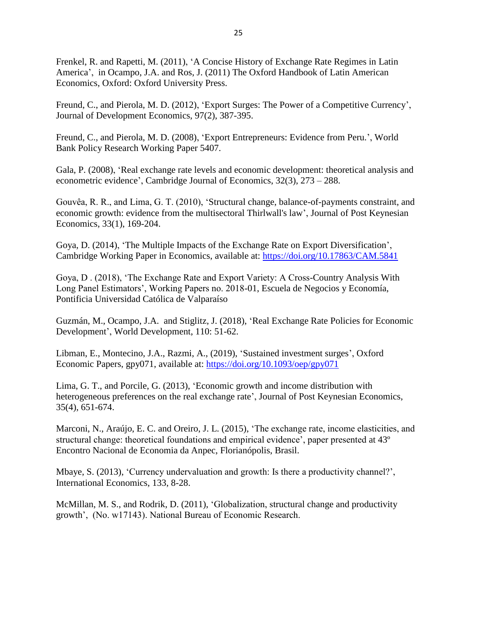Frenkel, R. and Rapetti, M. (2011), 'A Concise History of Exchange Rate Regimes in Latin America', in Ocampo, J.A. and Ros, J. (2011) The Oxford Handbook of Latin American Economics, Oxford: Oxford University Press.

Freund, C., and Pierola, M. D. (2012), 'Export Surges: The Power of a Competitive Currency', Journal of Development Economics, 97(2), 387-395.

Freund, C., and Pierola, M. D. (2008), 'Export Entrepreneurs: Evidence from Peru.', World Bank Policy Research Working Paper 5407.

Gala, P. (2008), 'Real exchange rate levels and economic development: theoretical analysis and econometric evidence', Cambridge Journal of Economics, 32(3), 273 – 288.

Gouvêa, R. R., and Lima, G. T. (2010), 'Structural change, balance-of-payments constraint, and economic growth: evidence from the multisectoral Thirlwall's law', Journal of Post Keynesian Economics, 33(1), 169-204.

Goya, D. (2014), 'The Multiple Impacts of the Exchange Rate on Export Diversification', Cambridge Working Paper in Economics, available at: <https://doi.org/10.17863/CAM.5841>

Goya, D . (2018), 'The Exchange Rate and Export Variety: A Cross-Country Analysis With Long Panel Estimators', Working Papers no. 2018-01, Escuela de Negocios y Economía, Pontificia Universidad Católica de Valparaíso

Guzmán, M., Ocampo, J.A. and Stiglitz, J. (2018), 'Real Exchange Rate Policies for Economic Development', World Development, 110: 51-62.

Libman, E., Montecino, J.A., Razmi, A., (2019), 'Sustained investment surges', Oxford Economic Papers, gpy071, available at: <https://doi.org/10.1093/oep/gpy071>

Lima, G. T., and Porcile, G. (2013), 'Economic growth and income distribution with heterogeneous preferences on the real exchange rate', Journal of Post Keynesian Economics, 35(4), 651-674.

Marconi, N., Araújo, E. C. and Oreiro, J. L. (2015), 'The exchange rate, income elasticities, and structural change: theoretical foundations and empirical evidence', paper presented at 43º Encontro Nacional de Economia da Anpec, Florianópolis, Brasil.

Mbaye, S. (2013), 'Currency undervaluation and growth: Is there a productivity channel?', International Economics, 133, 8-28.

McMillan, M. S., and Rodrik, D. (2011), 'Globalization, structural change and productivity growth', (No. w17143). National Bureau of Economic Research.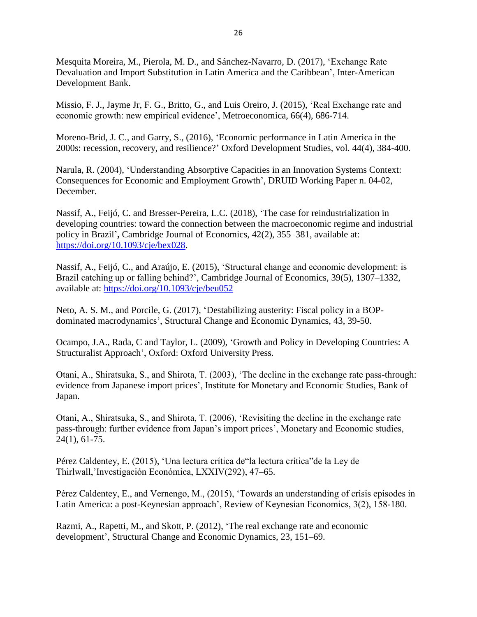Mesquita Moreira, M., Pierola, M. D., and Sánchez-Navarro, D. (2017), 'Exchange Rate Devaluation and Import Substitution in Latin America and the Caribbean', Inter-American Development Bank.

Missio, F. J., Jayme Jr, F. G., Britto, G., and Luis Oreiro, J. (2015), 'Real Exchange rate and economic growth: new empirical evidence', Metroeconomica, 66(4), 686-714.

Moreno-Brid, J. C., and Garry, S., (2016), 'Economic performance in Latin America in the 2000s: recession, recovery, and resilience?' Oxford Development Studies, vol. 44(4), 384-400.

Narula, R. (2004), 'Understanding Absorptive Capacities in an Innovation Systems Context: Consequences for Economic and Employment Growth', DRUID Working Paper n. 04-02, December.

Nassif, A., Feijó, C. and Bresser-Pereira, L.C. (2018), 'The case for reindustrialization in developing countries: toward the connection between the macroeconomic regime and industrial policy in Brazil'**,** Cambridge Journal of Economics, 42(2), 355–381, available at: [https://doi.org/10.1093/cje/bex028.](https://doi.org/10.1093/cje/bex028)

Nassif, A., Feijó, C., and Araújo, E. (2015), 'Structural change and economic development: is Brazil catching up or falling behind?', Cambridge Journal of Economics, 39(5), 1307–1332, available at:<https://doi.org/10.1093/cje/beu052>

Neto, A. S. M., and Porcile, G. (2017), 'Destabilizing austerity: Fiscal policy in a BOPdominated macrodynamics', Structural Change and Economic Dynamics, 43, 39-50.

Ocampo, J.A., Rada, C and Taylor, L. (2009), 'Growth and Policy in Developing Countries: A Structuralist Approach', Oxford: Oxford University Press.

Otani, A., Shiratsuka, S., and Shirota, T. (2003), 'The decline in the exchange rate pass-through: evidence from Japanese import prices', Institute for Monetary and Economic Studies, Bank of Japan.

Otani, A., Shiratsuka, S., and Shirota, T. (2006), 'Revisiting the decline in the exchange rate pass-through: further evidence from Japan's import prices', Monetary and Economic studies, 24(1), 61-75.

Pérez Caldentey, E. (2015), 'Una lectura crítica de"la lectura crítica"de la Ley de Thirlwall,'Investigación Económica, LXXIV(292), 47–65.

Pérez Caldentey, E., and Vernengo, M., (2015), 'Towards an understanding of crisis episodes in Latin America: a post-Keynesian approach', Review of Keynesian Economics, 3(2), 158-180.

Razmi, A., Rapetti, M., and Skott, P. (2012), 'The real exchange rate and economic development', Structural Change and Economic Dynamics, 23, 151–69.